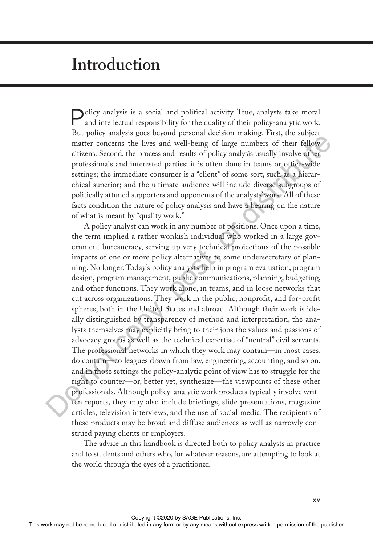Policy analysis is a social and political activity. True, analysts take moral and intellectual responsibility for the quality of their policy-analytic work. But policy analysis goes beyond personal decision-making. First, the subject matter concerns the lives and well-being of large numbers of their fellow citizens. Second, the process and results of policy analysis usually involve other professionals and interested parties: it is often done in teams or office-wide settings; the immediate consumer is a "client" of some sort, such as a hierarchical superior; and the ultimate audience will include diverse subgroups of politically attuned supporters and opponents of the analysts' work. All of these facts condition the nature of policy analysis and have a bearing on the nature of what is meant by "quality work."

A policy analyst can work in any number of positions. Once upon a time, the term implied a rather wonkish individual who worked in a large government bureaucracy, serving up very technical projections of the possible impacts of one or more policy alternatives to some undersecretary of planning. No longer. Today's policy analysts help in program evaluation, program design, program management, public communications, planning, budgeting, and other functions. They work alone, in teams, and in loose networks that cut across organizations. They work in the public, nonprofit, and for-profit spheres, both in the United States and abroad. Although their work is ideally distinguished by transparency of method and interpretation, the analysts themselves may explicitly bring to their jobs the values and passions of advocacy groups as well as the technical expertise of "neutral" civil servants. The professional networks in which they work may contain—in most cases, do contain—colleagues drawn from law, engineering, accounting, and so on, and in those settings the policy-analytic point of view has to struggle for the right to counter—or, better yet, synthesize—the viewpoints of these other professionals. Although policy-analytic work products typically involve written reports, they may also include briefings, slide presentations, magazine articles, television interviews, and the use of social media. The recipients of these products may be broad and diffuse audiences as well as narrowly construed paying clients or employers. The term is the state of the process and well-being of large numbers of their fielow<br>eithers. Second, the process and results of policy and<br>systs usually involve where<br>professionals and interested parties: it is often done

The advice in this handbook is directed both to policy analysts in practice and to students and others who, for whatever reasons, are attempting to look at the world through the eyes of a practitioner.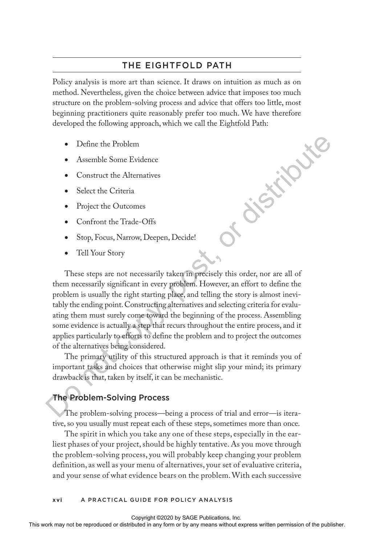## THE EIGHTFOLD PATH

Policy analysis is more art than science. It draws on intuition as much as on method. Nevertheless, given the choice between advice that imposes too much structure on the problem-solving process and advice that offers too little, most beginning practitioners quite reasonably prefer too much. We have therefore developed the following approach, which we call the Eightfold Path: Original City

- Define the Problem
- Assemble Some Evidence
- Construct the Alternatives
- Select the Criteria
- Project the Outcomes
- Confront the Trade-Offs
- Stop, Focus, Narrow, Deepen, Decide!
- Tell Your Story

These steps are not necessarily taken in precisely this order, nor are all of them necessarily significant in every problem. However, an effort to define the problem is usually the right starting place, and telling the story is almost inevitably the ending point. Constructing alternatives and selecting criteria for evaluating them must surely come toward the beginning of the process. Assembling some evidence is actually a step that recurs throughout the entire process, and it applies particularly to efforts to define the problem and to project the outcomes of the alternatives being considered.

The primary utility of this structured approach is that it reminds you of important tasks and choices that otherwise might slip your mind; its primary drawback is that, taken by itself, it can be mechanistic.

## The Problem-Solving Process

The problem-solving process—being a process of trial and error—is iterative, so you usually must repeat each of these steps, sometimes more than once.

The spirit in which you take any one of these steps, especially in the earliest phases of your project, should be highly tentative. As you move through the problem-solving process, you will probably keep changing your problem definition, as well as your menu of alternatives, your set of evaluative criteria, and your sense of what evidence bears on the problem. With each successive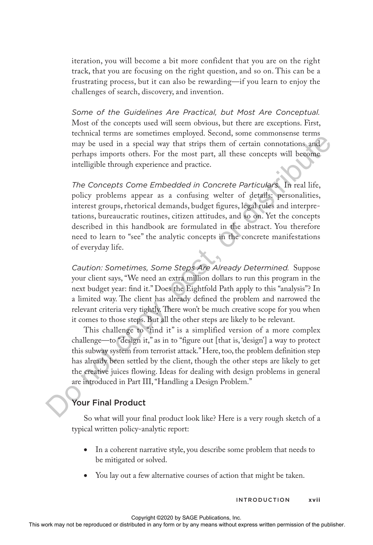iteration, you will become a bit more confident that you are on the right track, that you are focusing on the right question, and so on. This can be a frustrating process, but it can also be rewarding—if you learn to enjoy the challenges of search, discovery, and invention.

*Some of the Guidelines Are Practical, but Most Are Conceptual.*  Most of the concepts used will seem obvious, but there are exceptions. First, technical terms are sometimes employed. Second, some commonsense terms may be used in a special way that strips them of certain connotations and perhaps imports others. For the most part, all these concepts will become intelligible through experience and practice.

*The Concepts Come Embedded in Concrete Particulars.* In real life, policy problems appear as a confusing welter of details: personalities, interest groups, rhetorical demands, budget figures, legal rules and interpretations, bureaucratic routines, citizen attitudes, and so on. Yet the concepts described in this handbook are formulated in the abstract. You therefore need to learn to "see" the analytic concepts in the concrete manifestations of everyday life. For concepts and the solution of the concepts of the measurement of the measurement of the measurement of permission in a special way that strips them of certain connotations and<br>depends imports others. For the most part,

*Caution: Sometimes, Some Steps Are Already Determined.* Suppose your client says, "We need an extra million dollars to run this program in the next budget year: find it." Does the Eightfold Path apply to this "analysis"? In a limited way. The client has already defined the problem and narrowed the relevant criteria very tightly. There won't be much creative scope for you when it comes to those steps. But all the other steps are likely to be relevant.

This challenge to "find it" is a simplified version of a more complex challenge—to "design it," as in to "figure out [that is, 'design'] a way to protect this subway system from terrorist attack." Here, too, the problem definition step has already been settled by the client, though the other steps are likely to get the creative juices flowing. Ideas for dealing with design problems in general are introduced in Part III, "Handling a Design Problem."

## Your Final Product

So what will your final product look like? Here is a very rough sketch of a typical written policy-analytic report:

- In a coherent narrative style, you describe some problem that needs to be mitigated or solved.
- You lay out a few alternative courses of action that might be taken.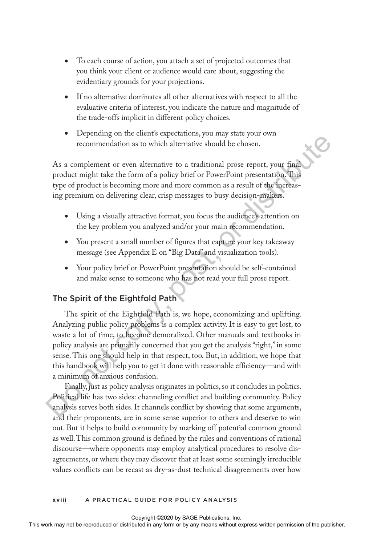- To each course of action, you attach a set of projected outcomes that you think your client or audience would care about, suggesting the evidentiary grounds for your projections.
- If no alternative dominates all other alternatives with respect to all the evaluative criteria of interest, you indicate the nature and magnitude of the trade-offs implicit in different policy choices.
- Depending on the client's expectations, you may state your own recommendation as to which alternative should be chosen.

As a complement or even alternative to a traditional prose report, your final product might take the form of a policy brief or PowerPoint presentation. This type of product is becoming more and more common as a result of the increasing premium on delivering clear, crisp messages to busy decision-makers.

- Using a visually attractive format, you focus the audience's attention on the key problem you analyzed and/or your main recommendation.
- You present a small number of figures that capture your key takeaway message (see Appendix E on "Big Data" and visualization tools).
- Your policy brief or PowerPoint presentation should be self-contained and make sense to someone who has not read your full prose report.

# The Spirit of the Eightfold Path

The spirit of the Eightfold Path is, we hope, economizing and uplifting. Analyzing public policy problems is a complex activity. It is easy to get lost, to waste a lot of time, to become demoralized. Other manuals and textbooks in policy analysis are primarily concerned that you get the analysis "right," in some sense. This one should help in that respect, too. But, in addition, we hope that this handbook will help you to get it done with reasonable efficiency—and with a minimum of anxious confusion. The spirit of the Eightfold Path<br>The spiritual state of the mail state of the search and the chosen.<br>
As a complement or even alternative to a traditional prose report, your final<br>
product might take the form of a policy b

Finally, just as policy analysis originates in politics, so it concludes in politics. Political life has two sides: channeling conflict and building community. Policy analysis serves both sides. It channels conflict by showing that some arguments, and their proponents, are in some sense superior to others and deserve to win out. But it helps to build community by marking off potential common ground as well. This common ground is defined by the rules and conventions of rational discourse—where opponents may employ analytical procedures to resolve disagreements, or where they may discover that at least some seemingly irreducible values conflicts can be recast as dry-as-dust technical disagreements over how

#### **xviii** A Practical Guide for Policy Analysis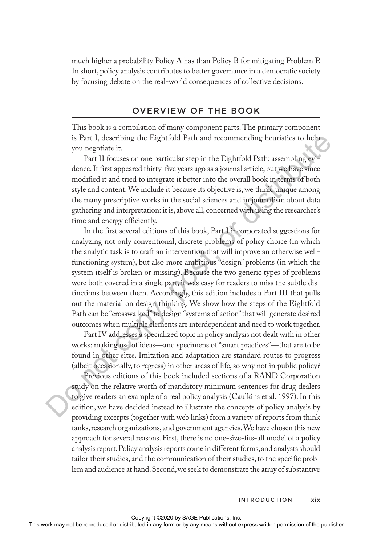much higher a probability Policy A has than Policy B for mitigating Problem P. In short, policy analysis contributes to better governance in a democratic society by focusing debate on the real-world consequences of collective decisions.

### OVERVIEW OF THE BOOK

This book is a compilation of many component parts. The primary component is Part I, describing the Eightfold Path and recommending heuristics to help you negotiate it.

Part II focuses on one particular step in the Eightfold Path: assembling evidence. It first appeared thirty-five years ago as a journal article, but we have since modified it and tried to integrate it better into the overall book in terms of both style and content. We include it because its objective is, we think, unique among the many prescriptive works in the social sciences and in journalism about data gathering and interpretation: it is, above all, concerned with using the researcher's time and energy efficiently.

In the first several editions of this book, Part I incorporated suggestions for analyzing not only conventional, discrete problems of policy choice (in which the analytic task is to craft an intervention that will improve an otherwise wellfunctioning system), but also more ambitious "design" problems (in which the system itself is broken or missing). Because the two generic types of problems were both covered in a single part, it was easy for readers to miss the subtle distinctions between them. Accordingly, this edition includes a Part III that pulls out the material on design thinking. We show how the steps of the Eightfold Path can be "crosswalked" to design "systems of action" that will generate desired outcomes when multiple elements are interdependent and need to work together. is Part I, describing the Eightfold Path and recommending heuristics to help<br>you negotiate it.<br>The ratif of constrelation of the Eightfold Path: assembling were<br>dence. It first appeared thirty-five years ago as a journal a

Part IV addresses a specialized topic in policy analysis not dealt with in other works: making use of ideas—and specimens of "smart practices"—that are to be found in other sites. Imitation and adaptation are standard routes to progress (albeit occasionally, to regress) in other areas of life, so why not in public policy?

Previous editions of this book included sections of a RAND Corporation study on the relative worth of mandatory minimum sentences for drug dealers to give readers an example of a real policy analysis (Caulkins et al. 1997). In this edition, we have decided instead to illustrate the concepts of policy analysis by providing excerpts (together with web links) from a variety of reports from think tanks, research organizations, and government agencies. We have chosen this new approach for several reasons. First, there is no one-size-fits-all model of a policy analysis report. Policy analysis reports come in different forms, and analysts should tailor their studies, and the communication of their studies, to the specific problem and audience at hand. Second, we seek to demonstrate the array of substantive